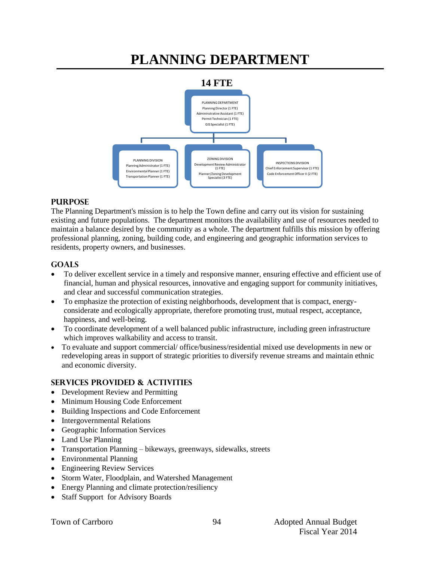# **PLANNING DEPARTMENT**



#### **PURPOSE**

The Planning Department's mission is to help the Town define and carry out its vision for sustaining existing and future populations. The department monitors the availability and use of resources needed to maintain a balance desired by the community as a whole. The department fulfills this mission by offering professional planning, zoning, building code, and engineering and geographic information services to residents, property owners, and businesses.

#### **GOALS**

- To deliver excellent service in a timely and responsive manner, ensuring effective and efficient use of financial, human and physical resources, innovative and engaging support for community initiatives, and clear and successful communication strategies.
- To emphasize the protection of existing neighborhoods, development that is compact, energyconsiderate and ecologically appropriate, therefore promoting trust, mutual respect, acceptance, happiness, and well-being.
- To coordinate development of a well balanced public infrastructure, including green infrastructure which improves walkability and access to transit.
- To evaluate and support commercial/ office/business/residential mixed use developments in new or redeveloping areas in support of strategic priorities to diversify revenue streams and maintain ethnic and economic diversity.

94

#### **SERVICES PROVIDED & ACTIVITIES**

- Development Review and Permitting
- Minimum Housing Code Enforcement
- Building Inspections and Code Enforcement
- Intergovernmental Relations
- Geographic Information Services
- Land Use Planning
- Transportation Planning bikeways, greenways, sidewalks, streets
- Environmental Planning
- Engineering Review Services
- Storm Water, Floodplain, and Watershed Management
- Energy Planning and climate protection/resiliency
- Staff Support for Advisory Boards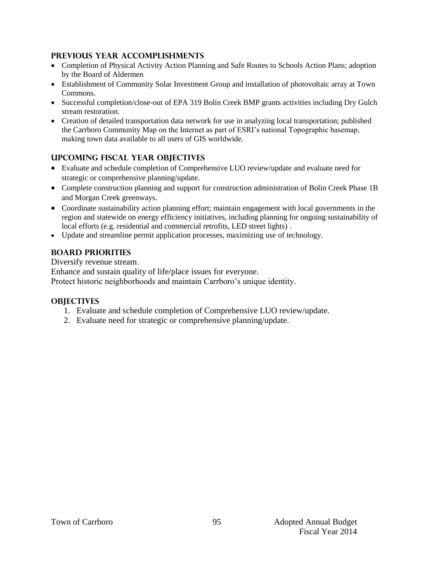#### **PREVIOUS YEAR ACCOMPLISHMENTS**

- Completion of Physical Activity Action Planning and Safe Routes to Schools Action Plans; adoption by the Board of Aldermen
- Establishment of Community Solar Investment Group and installation of photovoltaic array at Town Commons.
- Successful completion/close-out of EPA 319 Bolin Creek BMP grants activities including Dry Gulch stream restoration.
- Creation of detailed transportation data network for use in analyzing local transportation; published the Carrboro Community Map on the Internet as part of ESRI's national Topographic basemap, making town data available to all users of GIS worldwide.

# **UPCOMING FISCAL YEAR OBJECTIVES**

- Evaluate and schedule completion of Comprehensive LUO review/update and evaluate need for strategic or comprehensive planning/update.
- Complete construction planning and support for construction administration of Bolin Creek Phase 1B and Morgan Creek greenways.
- Coordinate sustainability action planning effort; maintain engagement with local governments in the region and statewide on energy efficiency initiatives, including planning for ongoing sustainability of local efforts (e.g. residential and commercial retrofits, LED street lights) .
- Update and streamline permit application processes, maximizing use of technology.

### **BOARD PRIORITIES**

Diversify revenue stream. Enhance and sustain quality of life/place issues for everyone. Protect historic neighborhoods and maintain Carrboro's unique identity.

#### **OBJECTIVES**

- 1. Evaluate and schedule completion of Comprehensive LUO review/update.
- 2. Evaluate need for strategic or comprehensive planning/update.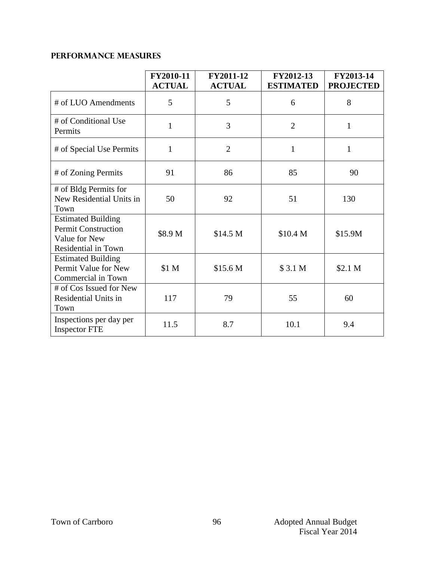# **PERFORMANCE MEASURES**

|                                                                                                 | FY2010-11<br><b>ACTUAL</b> | FY2011-12<br><b>ACTUAL</b> | FY2012-13<br><b>ESTIMATED</b> | FY2013-14<br><b>PROJECTED</b> |
|-------------------------------------------------------------------------------------------------|----------------------------|----------------------------|-------------------------------|-------------------------------|
| # of LUO Amendments                                                                             | 5                          | 5                          | 6                             | 8                             |
| # of Conditional Use<br>Permits                                                                 | $\mathbf{1}$               | 3                          | $\overline{2}$                | 1                             |
| # of Special Use Permits                                                                        | $\mathbf{1}$               | $\overline{2}$             | $\mathbf{1}$                  | 1                             |
| # of Zoning Permits                                                                             | 91                         | 86                         | 85                            | 90                            |
| # of Bldg Permits for<br>New Residential Units in<br>Town                                       | 50                         | 92                         | 51                            | 130                           |
| <b>Estimated Building</b><br><b>Permit Construction</b><br>Value for New<br>Residential in Town | \$8.9 M                    | \$14.5 M                   | \$10.4 <sub>M</sub>           | \$15.9M                       |
| <b>Estimated Building</b><br>Permit Value for New<br>Commercial in Town                         | \$1 M                      | \$15.6 <sub>M</sub>        | \$3.1 <sub>M</sub>            | \$2.1 <sub>M</sub>            |
| # of Cos Issued for New<br>Residential Units in<br>Town                                         | 117                        | 79                         | 55                            | 60                            |
| Inspections per day per<br><b>Inspector FTE</b>                                                 | 11.5                       | 8.7                        | 10.1                          | 9.4                           |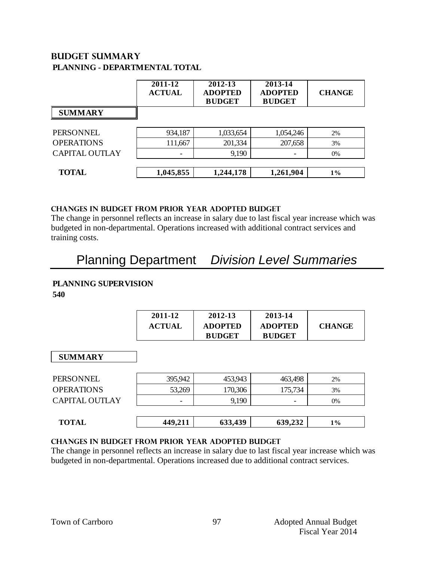# **Budget summary PLANNING - DEPARTMENTAL TOTAL**

| 2011-12<br><b>ACTUAL</b> | 2012-13<br><b>ADOPTED</b><br><b>BUDGET</b> | 2013-14<br><b>ADOPTED</b><br><b>BUDGET</b> | <b>CHANGE</b> |
|--------------------------|--------------------------------------------|--------------------------------------------|---------------|
|                          |                                            |                                            |               |
| 934,187                  | 1,033,654                                  | 1,054,246                                  | 2%            |
| 111,667                  | 201,334                                    | 207,658                                    | 3%            |
|                          | 9,190                                      |                                            | $0\%$         |
|                          |                                            |                                            |               |
| 1,045,855                | 1,244,178                                  | 1,261,904                                  | $1\%$         |
|                          |                                            |                                            |               |

#### **CHANGES IN BUDGET from PRIOR YEAR ADOPTED BUDGET**

The change in personnel reflects an increase in salary due to last fiscal year increase which was budgeted in non-departmental. Operations increased with additional contract services and training costs.

# Planning Department *Division Level Summaries*

# **PLANNING SUPERVISION**

**540**

| 2011-12       | 2012-13        | 2013-14        |               |
|---------------|----------------|----------------|---------------|
| <b>ACTUAL</b> | <b>ADOPTED</b> | <b>ADOPTED</b> | <b>CHANGE</b> |
|               | <b>BUDGET</b>  | <b>BUDGET</b>  |               |

#### **SUMMARY**

| PERSONNEL<br><b>OPERATIONS</b> | 395,942                            | 453,943          | 463,498 | 2%       |
|--------------------------------|------------------------------------|------------------|---------|----------|
| <b>CAPITAL OUTLAY</b>          | 53,269<br>$\overline{\phantom{0}}$ | 170,306<br>9,190 | 175,734 | 3%<br>0% |
| <b>TOTAL</b>                   | 449,211                            | 633,439          | 639,232 | $1\%$    |

#### **changes in budget from prior year adopted budget**

The change in personnel reflects an increase in salary due to last fiscal year increase which was budgeted in non-departmental. Operations increased due to additional contract services.